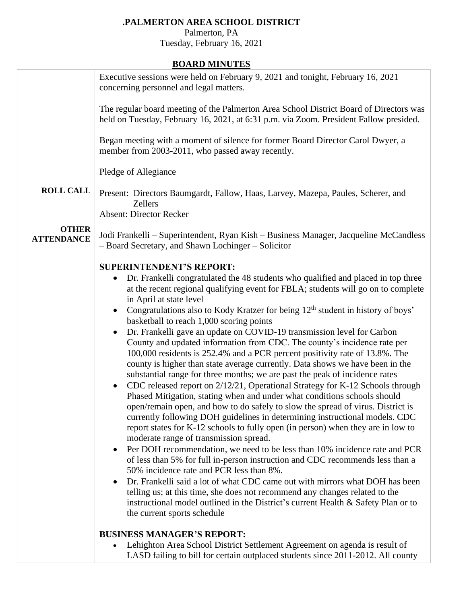## **.PALMERTON AREA SCHOOL DISTRICT**

Palmerton, PA

Tuesday, February 16, 2021

## **BOARD MINUTES**

|                                   | DOAIND MINTO LED                                                                                                                                                                |
|-----------------------------------|---------------------------------------------------------------------------------------------------------------------------------------------------------------------------------|
|                                   | Executive sessions were held on February 9, 2021 and tonight, February 16, 2021<br>concerning personnel and legal matters.                                                      |
|                                   | The regular board meeting of the Palmerton Area School District Board of Directors was<br>held on Tuesday, February 16, 2021, at 6:31 p.m. via Zoom. President Fallow presided. |
|                                   | Began meeting with a moment of silence for former Board Director Carol Dwyer, a<br>member from 2003-2011, who passed away recently.                                             |
|                                   | Pledge of Allegiance                                                                                                                                                            |
| <b>ROLL CALL</b>                  | Present: Directors Baumgardt, Fallow, Haas, Larvey, Mazepa, Paules, Scherer, and<br>Zellers                                                                                     |
|                                   | <b>Absent: Director Recker</b>                                                                                                                                                  |
| <b>OTHER</b><br><b>ATTENDANCE</b> | Jodi Frankelli – Superintendent, Ryan Kish – Business Manager, Jacqueline McCandless<br>- Board Secretary, and Shawn Lochinger - Solicitor                                      |
|                                   | <b>SUPERINTENDENT'S REPORT:</b>                                                                                                                                                 |
|                                   |                                                                                                                                                                                 |
|                                   | Dr. Frankelli congratulated the 48 students who qualified and placed in top three                                                                                               |
|                                   | at the recent regional qualifying event for FBLA; students will go on to complete                                                                                               |
|                                   | in April at state level                                                                                                                                                         |
|                                   | Congratulations also to Kody Kratzer for being 12 <sup>th</sup> student in history of boys'<br>$\bullet$<br>basketball to reach 1,000 scoring points                            |
|                                   | Dr. Frankelli gave an update on COVID-19 transmission level for Carbon                                                                                                          |
|                                   | County and updated information from CDC. The county's incidence rate per                                                                                                        |
|                                   | 100,000 residents is 252.4% and a PCR percent positivity rate of 13.8%. The                                                                                                     |
|                                   | county is higher than state average currently. Data shows we have been in the                                                                                                   |
|                                   | substantial range for three months; we are past the peak of incidence rates                                                                                                     |
|                                   |                                                                                                                                                                                 |
|                                   | CDC released report on 2/12/21, Operational Strategy for K-12 Schools through<br>$\bullet$                                                                                      |
|                                   | Phased Mitigation, stating when and under what conditions schools should                                                                                                        |
|                                   | open/remain open, and how to do safely to slow the spread of virus. District is                                                                                                 |
|                                   | currently following DOH guidelines in determining instructional models. CDC                                                                                                     |
|                                   | report states for K-12 schools to fully open (in person) when they are in low to                                                                                                |
|                                   | moderate range of transmission spread.                                                                                                                                          |
|                                   | Per DOH recommendation, we need to be less than 10% incidence rate and PCR<br>$\bullet$                                                                                         |
|                                   | of less than 5% for full in-person instruction and CDC recommends less than a                                                                                                   |
|                                   | 50% incidence rate and PCR less than 8%.                                                                                                                                        |
|                                   | Dr. Frankelli said a lot of what CDC came out with mirrors what DOH has been                                                                                                    |
|                                   | telling us; at this time, she does not recommend any changes related to the                                                                                                     |
|                                   | instructional model outlined in the District's current Health & Safety Plan or to                                                                                               |
|                                   | the current sports schedule                                                                                                                                                     |
|                                   | <b>BUSINESS MANAGER'S REPORT:</b>                                                                                                                                               |
|                                   | Lehighton Area School District Settlement Agreement on agenda is result of<br>$\bullet$                                                                                         |
|                                   | LASD failing to bill for certain outplaced students since 2011-2012. All county                                                                                                 |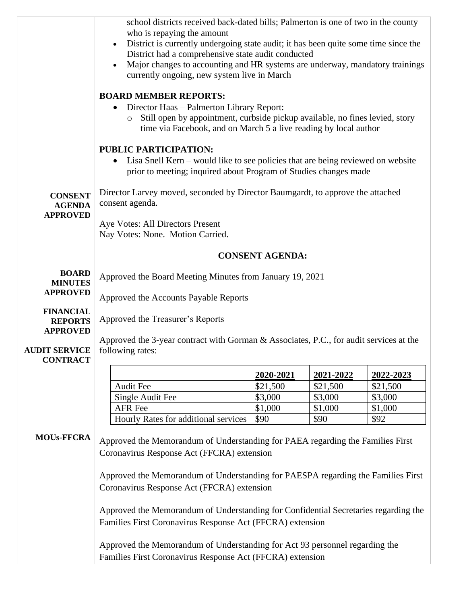|                                                   | school districts received back-dated bills; Palmerton is one of two in the county<br>who is repaying the amount<br>District is currently undergoing state audit; it has been quite some time since the<br>$\bullet$<br>District had a comprehensive state audit conducted<br>Major changes to accounting and HR systems are underway, mandatory trainings |                        |           |           |  |
|---------------------------------------------------|-----------------------------------------------------------------------------------------------------------------------------------------------------------------------------------------------------------------------------------------------------------------------------------------------------------------------------------------------------------|------------------------|-----------|-----------|--|
|                                                   | currently ongoing, new system live in March<br><b>BOARD MEMBER REPORTS:</b><br>Director Haas - Palmerton Library Report:<br>$\bullet$<br>Still open by appointment, curbside pickup available, no fines levied, story<br>$\circ$<br>time via Facebook, and on March 5 a live reading by local author                                                      |                        |           |           |  |
|                                                   | PUBLIC PARTICIPATION:<br>Lisa Snell Kern – would like to see policies that are being reviewed on website<br>$\bullet$<br>prior to meeting; inquired about Program of Studies changes made                                                                                                                                                                 |                        |           |           |  |
| <b>CONSENT</b><br><b>AGENDA</b>                   | Director Larvey moved, seconded by Director Baumgardt, to approve the attached<br>consent agenda.                                                                                                                                                                                                                                                         |                        |           |           |  |
| <b>APPROVED</b>                                   | Aye Votes: All Directors Present<br>Nay Votes: None. Motion Carried.                                                                                                                                                                                                                                                                                      |                        |           |           |  |
|                                                   |                                                                                                                                                                                                                                                                                                                                                           | <b>CONSENT AGENDA:</b> |           |           |  |
| <b>BOARD</b><br><b>MINUTES</b><br><b>APPROVED</b> | Approved the Board Meeting Minutes from January 19, 2021                                                                                                                                                                                                                                                                                                  |                        |           |           |  |
| <b>FINANCIAL</b>                                  | Approved the Accounts Payable Reports                                                                                                                                                                                                                                                                                                                     |                        |           |           |  |
| <b>REPORTS</b><br><b>APPROVED</b>                 | Approved the Treasurer's Reports                                                                                                                                                                                                                                                                                                                          |                        |           |           |  |
| <b>AUDIT SERVICE</b><br><b>CONTRACT</b>           | Approved the 3-year contract with Gorman $\&$ Associates, P.C., for audit services at the<br>following rates:                                                                                                                                                                                                                                             |                        |           |           |  |
|                                                   |                                                                                                                                                                                                                                                                                                                                                           | 2020-2021              | 2021-2022 | 2022-2023 |  |
|                                                   | <b>Audit Fee</b>                                                                                                                                                                                                                                                                                                                                          | \$21,500               | \$21,500  | \$21,500  |  |
|                                                   | Single Audit Fee                                                                                                                                                                                                                                                                                                                                          | \$3,000                | \$3,000   | \$3,000   |  |
|                                                   | <b>AFR</b> Fee                                                                                                                                                                                                                                                                                                                                            | \$1,000                | \$1,000   | \$1,000   |  |
| <b>MOUs-FFCRA</b>                                 | Hourly Rates for additional services<br>\$90<br>\$90<br>\$92<br>Approved the Memorandum of Understanding for PAEA regarding the Families First                                                                                                                                                                                                            |                        |           |           |  |
|                                                   | Coronavirus Response Act (FFCRA) extension<br>Approved the Memorandum of Understanding for PAESPA regarding the Families First                                                                                                                                                                                                                            |                        |           |           |  |
|                                                   | Coronavirus Response Act (FFCRA) extension                                                                                                                                                                                                                                                                                                                |                        |           |           |  |
|                                                   | Approved the Memorandum of Understanding for Confidential Secretaries regarding the<br>Families First Coronavirus Response Act (FFCRA) extension                                                                                                                                                                                                          |                        |           |           |  |
|                                                   | Approved the Memorandum of Understanding for Act 93 personnel regarding the<br>Families First Coronavirus Response Act (FFCRA) extension                                                                                                                                                                                                                  |                        |           |           |  |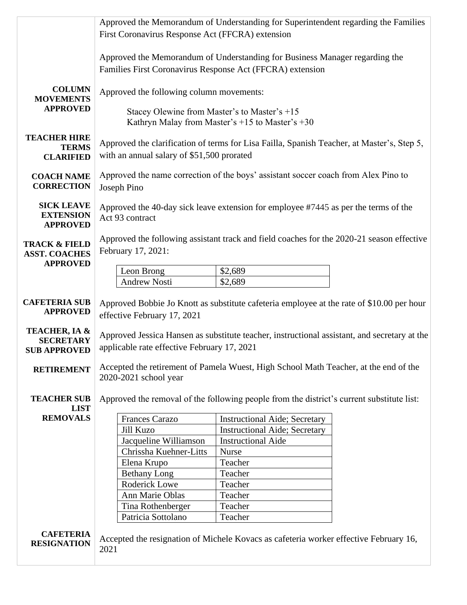|                                         | Approved the Memorandum of Understanding for Superintendent regarding the Families                  |                                                                                           |  |  |  |  |
|-----------------------------------------|-----------------------------------------------------------------------------------------------------|-------------------------------------------------------------------------------------------|--|--|--|--|
|                                         | First Coronavirus Response Act (FFCRA) extension                                                    |                                                                                           |  |  |  |  |
|                                         |                                                                                                     |                                                                                           |  |  |  |  |
|                                         | Approved the Memorandum of Understanding for Business Manager regarding the                         |                                                                                           |  |  |  |  |
|                                         | Families First Coronavirus Response Act (FFCRA) extension                                           |                                                                                           |  |  |  |  |
|                                         |                                                                                                     |                                                                                           |  |  |  |  |
| <b>COLUMN</b>                           | Approved the following column movements:                                                            |                                                                                           |  |  |  |  |
| <b>MOVEMENTS</b><br><b>APPROVED</b>     |                                                                                                     |                                                                                           |  |  |  |  |
|                                         | Stacey Olewine from Master's to Master's +15<br>Kathryn Malay from Master's $+15$ to Master's $+30$ |                                                                                           |  |  |  |  |
|                                         |                                                                                                     |                                                                                           |  |  |  |  |
| <b>TEACHER HIRE</b>                     | Approved the clarification of terms for Lisa Failla, Spanish Teacher, at Master's, Step 5,          |                                                                                           |  |  |  |  |
| <b>TERMS</b><br><b>CLARIFIED</b>        |                                                                                                     |                                                                                           |  |  |  |  |
|                                         |                                                                                                     | with an annual salary of \$51,500 prorated                                                |  |  |  |  |
| <b>COACH NAME</b>                       | Approved the name correction of the boys' assistant soccer coach from Alex Pino to                  |                                                                                           |  |  |  |  |
| <b>CORRECTION</b>                       | Joseph Pino                                                                                         |                                                                                           |  |  |  |  |
|                                         |                                                                                                     |                                                                                           |  |  |  |  |
| <b>SICK LEAVE</b><br><b>EXTENSION</b>   |                                                                                                     | Approved the 40-day sick leave extension for employee #7445 as per the terms of the       |  |  |  |  |
| <b>APPROVED</b>                         | Act 93 contract                                                                                     |                                                                                           |  |  |  |  |
|                                         |                                                                                                     |                                                                                           |  |  |  |  |
| <b>TRACK &amp; FIELD</b>                | Approved the following assistant track and field coaches for the 2020-21 season effective           |                                                                                           |  |  |  |  |
| <b>ASST. COACHES</b><br><b>APPROVED</b> | February 17, 2021:                                                                                  |                                                                                           |  |  |  |  |
|                                         | Leon Brong                                                                                          | \$2,689                                                                                   |  |  |  |  |
|                                         | <b>Andrew Nosti</b>                                                                                 | \$2,689                                                                                   |  |  |  |  |
|                                         |                                                                                                     |                                                                                           |  |  |  |  |
| <b>CAFETERIA SUB</b>                    |                                                                                                     | Approved Bobbie Jo Knott as substitute cafeteria employee at the rate of \$10.00 per hour |  |  |  |  |
| <b>APPROVED</b>                         | effective February 17, 2021                                                                         |                                                                                           |  |  |  |  |
| <b>TEACHER, IA &amp;</b>                |                                                                                                     |                                                                                           |  |  |  |  |
| <b>SECRETARY</b>                        | Approved Jessica Hansen as substitute teacher, instructional assistant, and secretary at the        |                                                                                           |  |  |  |  |
| <b>SUB APPROVED</b>                     | applicable rate effective February 17, 2021                                                         |                                                                                           |  |  |  |  |
| <b>RETIREMENT</b>                       | Accepted the retirement of Pamela Wuest, High School Math Teacher, at the end of the                |                                                                                           |  |  |  |  |
|                                         | 2020-2021 school year                                                                               |                                                                                           |  |  |  |  |
|                                         |                                                                                                     |                                                                                           |  |  |  |  |
| <b>TEACHER SUB</b>                      | Approved the removal of the following people from the district's current substitute list:           |                                                                                           |  |  |  |  |
| <b>LIST</b><br><b>REMOVALS</b>          | Frances Carazo                                                                                      | <b>Instructional Aide; Secretary</b>                                                      |  |  |  |  |
|                                         | Jill Kuzo                                                                                           | <b>Instructional Aide; Secretary</b>                                                      |  |  |  |  |
|                                         | Jacqueline Williamson                                                                               | <b>Instructional Aide</b>                                                                 |  |  |  |  |
|                                         | Chrissha Kuehner-Litts                                                                              | <b>Nurse</b>                                                                              |  |  |  |  |
|                                         | Elena Krupo                                                                                         | Teacher                                                                                   |  |  |  |  |
|                                         | <b>Bethany Long</b>                                                                                 | Teacher                                                                                   |  |  |  |  |
|                                         | Roderick Lowe                                                                                       | Teacher                                                                                   |  |  |  |  |
|                                         | Ann Marie Oblas                                                                                     | Teacher                                                                                   |  |  |  |  |
|                                         | Tina Rothenberger                                                                                   | Teacher                                                                                   |  |  |  |  |
|                                         | Patricia Sottolano                                                                                  | Teacher                                                                                   |  |  |  |  |
| <b>CAFETERIA</b>                        |                                                                                                     |                                                                                           |  |  |  |  |
| <b>RESIGNATION</b>                      | Accepted the resignation of Michele Kovacs as cafeteria worker effective February 16,               |                                                                                           |  |  |  |  |
|                                         | 2021                                                                                                |                                                                                           |  |  |  |  |